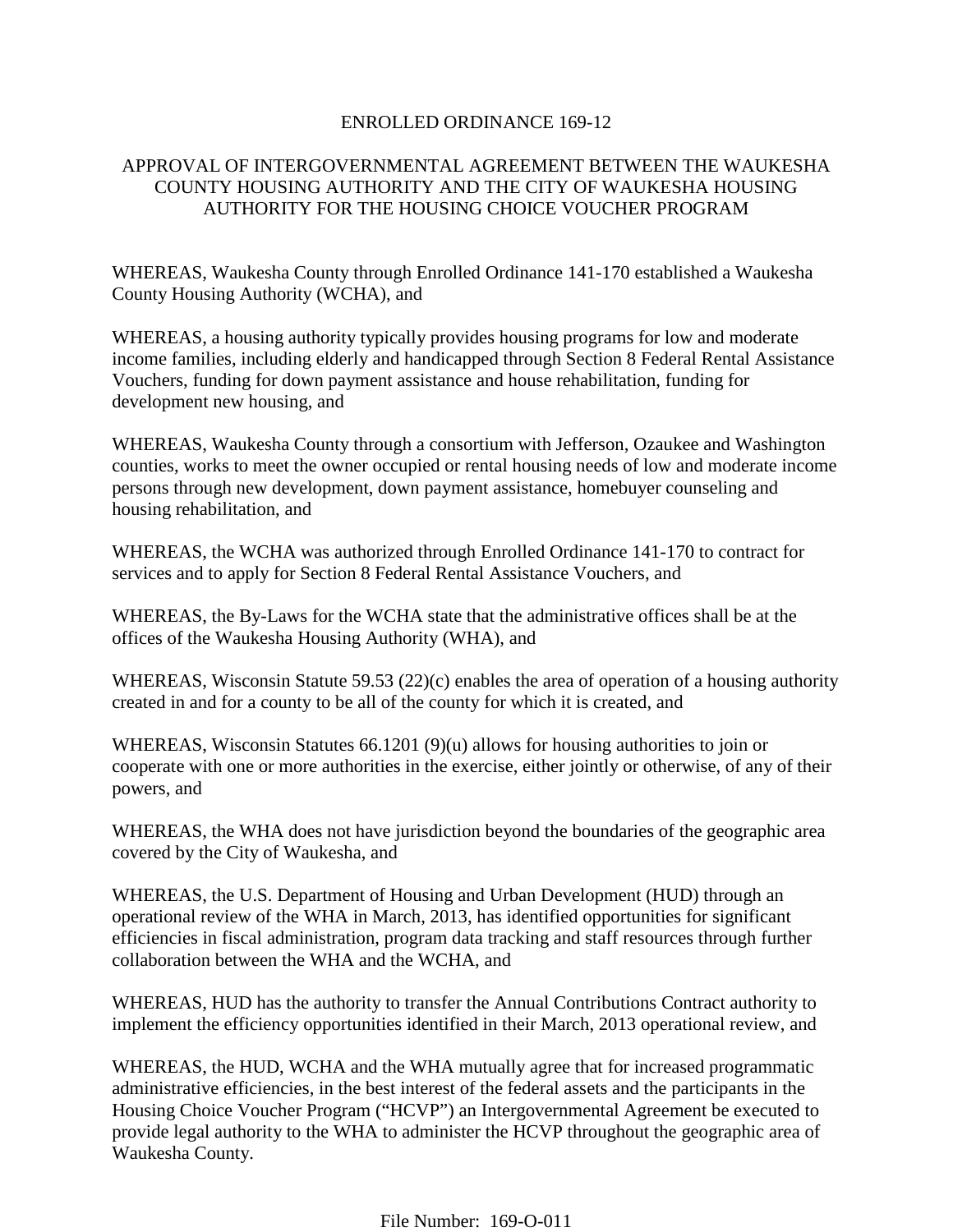### ENROLLED ORDINANCE 169-12

## APPROVAL OF INTERGOVERNMENTAL AGREEMENT BETWEEN THE WAUKESHA COUNTY HOUSING AUTHORITY AND THE CITY OF WAUKESHA HOUSING AUTHORITY FOR THE HOUSING CHOICE VOUCHER PROGRAM

WHEREAS, Waukesha County through Enrolled Ordinance 141-170 established a Waukesha County Housing Authority (WCHA), and

WHEREAS, a housing authority typically provides housing programs for low and moderate income families, including elderly and handicapped through Section 8 Federal Rental Assistance Vouchers, funding for down payment assistance and house rehabilitation, funding for development new housing, and

WHEREAS, Waukesha County through a consortium with Jefferson, Ozaukee and Washington counties, works to meet the owner occupied or rental housing needs of low and moderate income persons through new development, down payment assistance, homebuyer counseling and housing rehabilitation, and

WHEREAS, the WCHA was authorized through Enrolled Ordinance 141-170 to contract for services and to apply for Section 8 Federal Rental Assistance Vouchers, and

WHEREAS, the By-Laws for the WCHA state that the administrative offices shall be at the offices of the Waukesha Housing Authority (WHA), and

WHEREAS, Wisconsin Statute 59.53 (22)(c) enables the area of operation of a housing authority created in and for a county to be all of the county for which it is created, and

WHEREAS, Wisconsin Statutes 66.1201 (9)(u) allows for housing authorities to join or cooperate with one or more authorities in the exercise, either jointly or otherwise, of any of their powers, and

WHEREAS, the WHA does not have jurisdiction beyond the boundaries of the geographic area covered by the City of Waukesha, and

WHEREAS, the U.S. Department of Housing and Urban Development (HUD) through an operational review of the WHA in March, 2013, has identified opportunities for significant efficiencies in fiscal administration, program data tracking and staff resources through further collaboration between the WHA and the WCHA, and

WHEREAS, HUD has the authority to transfer the Annual Contributions Contract authority to implement the efficiency opportunities identified in their March, 2013 operational review, and

WHEREAS, the HUD, WCHA and the WHA mutually agree that for increased programmatic administrative efficiencies, in the best interest of the federal assets and the participants in the Housing Choice Voucher Program ("HCVP") an Intergovernmental Agreement be executed to provide legal authority to the WHA to administer the HCVP throughout the geographic area of Waukesha County.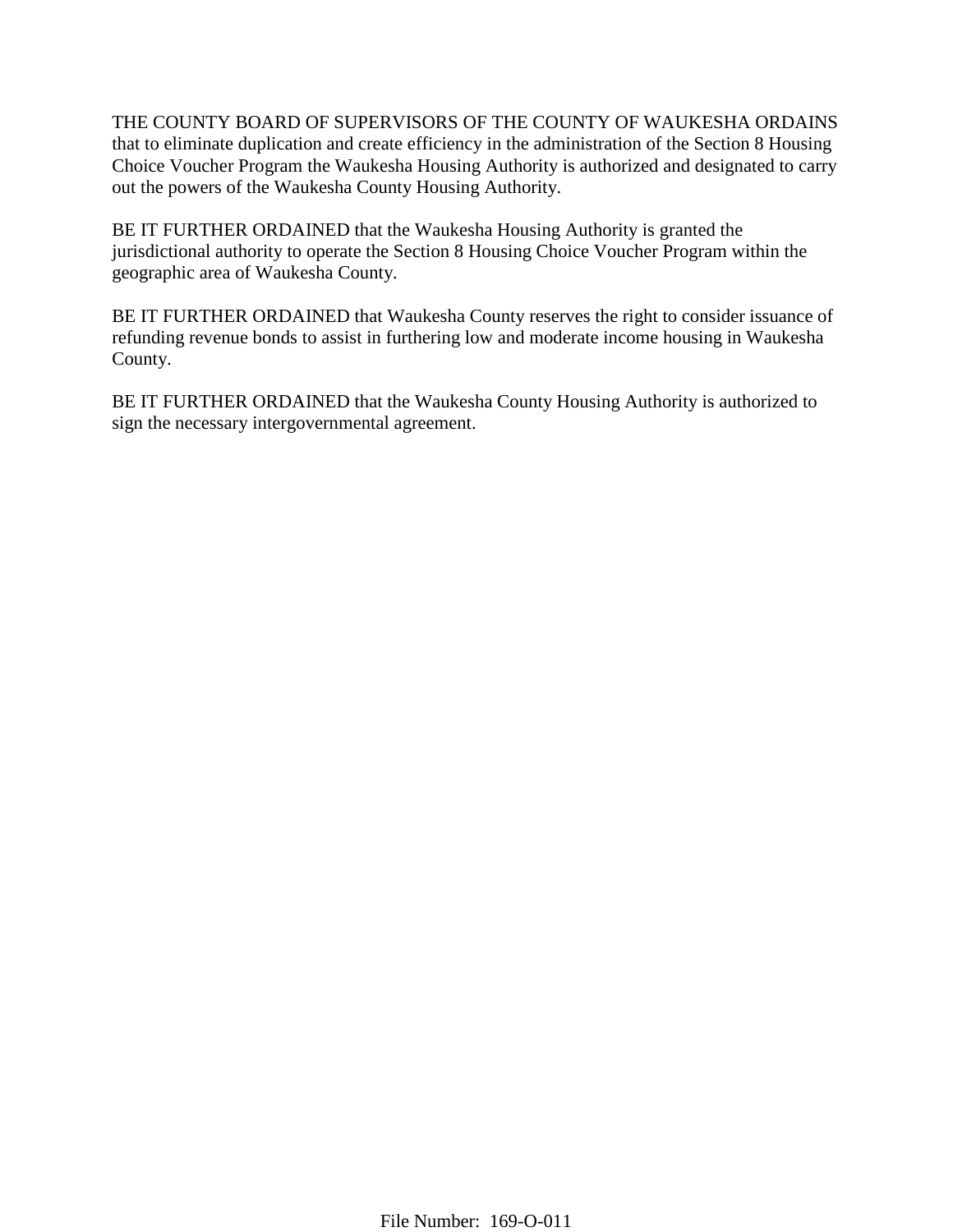THE COUNTY BOARD OF SUPERVISORS OF THE COUNTY OF WAUKESHA ORDAINS that to eliminate duplication and create efficiency in the administration of the Section 8 Housing Choice Voucher Program the Waukesha Housing Authority is authorized and designated to carry out the powers of the Waukesha County Housing Authority.

BE IT FURTHER ORDAINED that the Waukesha Housing Authority is granted the jurisdictional authority to operate the Section 8 Housing Choice Voucher Program within the geographic area of Waukesha County.

BE IT FURTHER ORDAINED that Waukesha County reserves the right to consider issuance of refunding revenue bonds to assist in furthering low and moderate income housing in Waukesha County.

BE IT FURTHER ORDAINED that the Waukesha County Housing Authority is authorized to sign the necessary intergovernmental agreement.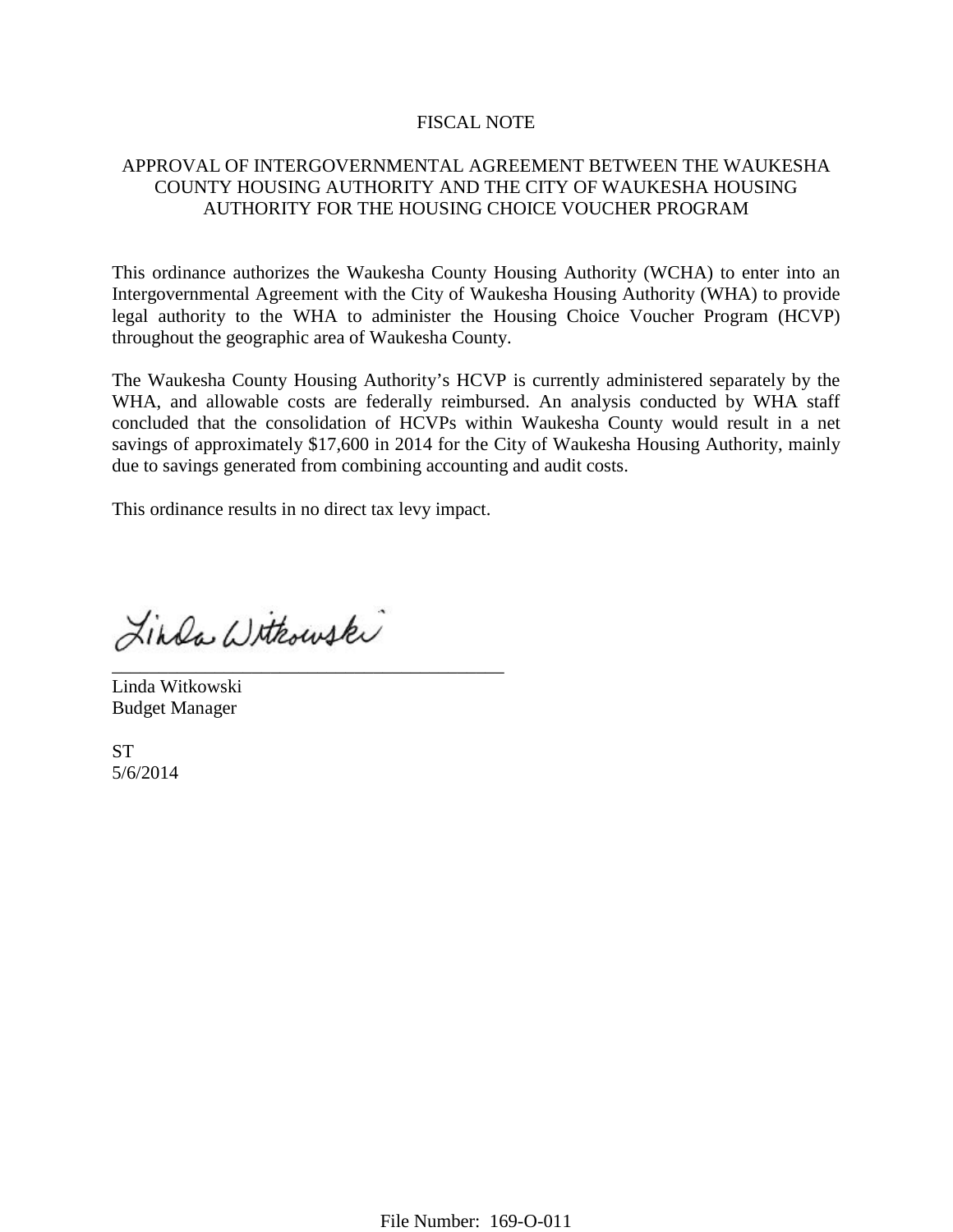#### FISCAL NOTE

## APPROVAL OF INTERGOVERNMENTAL AGREEMENT BETWEEN THE WAUKESHA COUNTY HOUSING AUTHORITY AND THE CITY OF WAUKESHA HOUSING AUTHORITY FOR THE HOUSING CHOICE VOUCHER PROGRAM

This ordinance authorizes the Waukesha County Housing Authority (WCHA) to enter into an Intergovernmental Agreement with the City of Waukesha Housing Authority (WHA) to provide legal authority to the WHA to administer the Housing Choice Voucher Program (HCVP) throughout the geographic area of Waukesha County.

The Waukesha County Housing Authority's HCVP is currently administered separately by the WHA, and allowable costs are federally reimbursed. An analysis conducted by WHA staff concluded that the consolidation of HCVPs within Waukesha County would result in a net savings of approximately \$17,600 in 2014 for the City of Waukesha Housing Authority, mainly due to savings generated from combining accounting and audit costs.

This ordinance results in no direct tax levy impact.

Linda Withowski

\_\_\_\_\_\_\_\_\_\_\_\_\_\_\_\_\_\_\_\_\_\_\_\_\_\_\_\_\_\_\_\_\_\_\_\_\_\_\_\_\_\_ Linda Witkowski Budget Manager

**ST** 5/6/2014

File Number: 169-O-011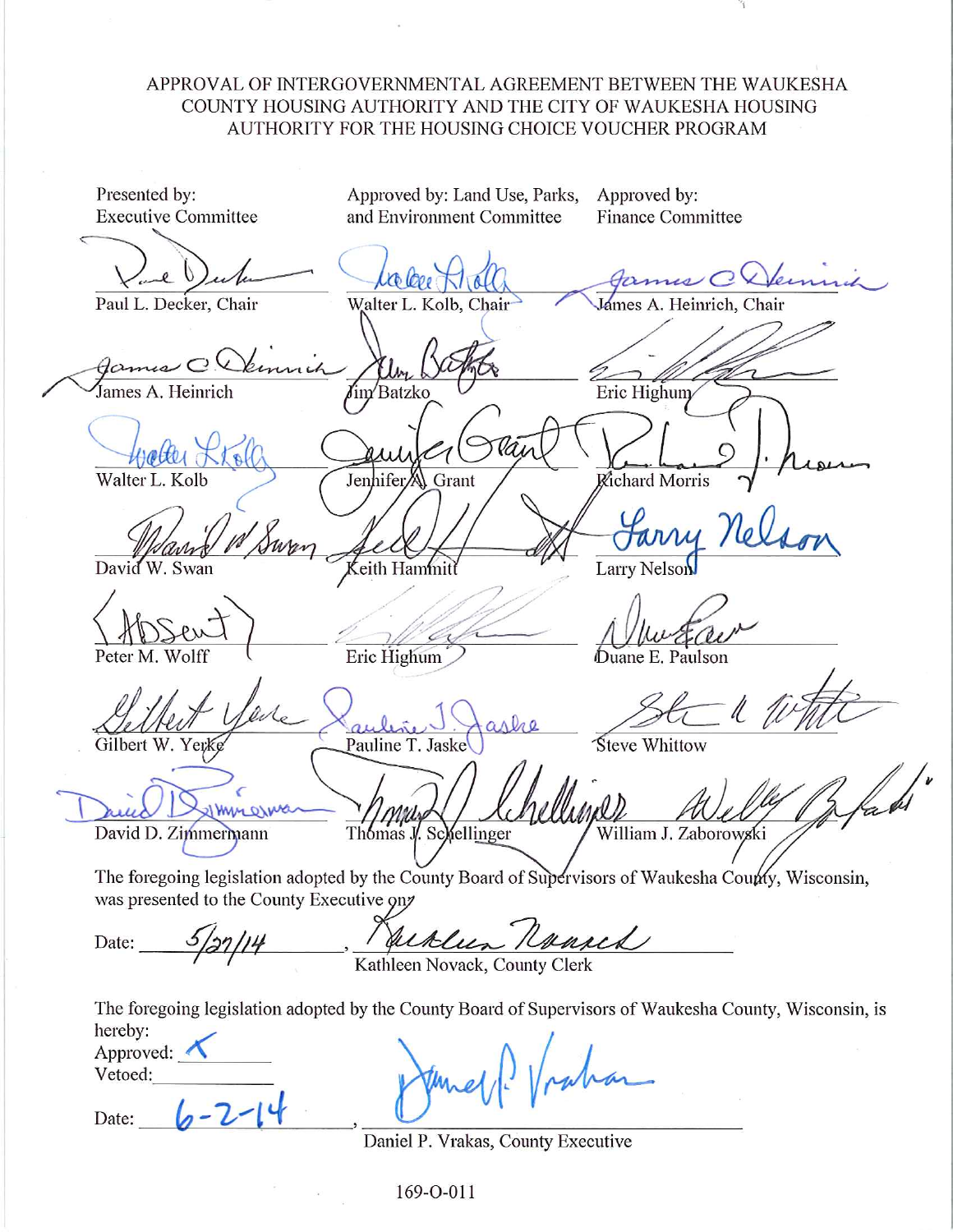# APPROVAL OF INTERGOVERNMENTAL AGREEMENT BETWEEN THE WAUKESHA COUNTY HOUSING AUTHORITY AND THE CITY OF WAUKESHA HOUSING AUTHORITY FOR THE HOUSING CHOICE VOUCHER PROGRAM

Presented by: Approved by: Approved by: Land Use, Parks, **Executive Committee** and Environment Committee **Finance Committee** James CXVern Co Lope James A. Heinrich, Chair Paul L. Decker, Chair Walter L. Kolb, Chair ames A. Heinrich Eric Highum Batzko Walter L. Kolb JenhiferA) Grant Richard Morris David eith Hammitt **Larry Nelson** W. Swan Eric Highum Duane E. Paulson Peter M. Wolf Steve Whittow Pauline T. Jaske Gilbert W. Yerk **I WILL OILLY** David D. Zimmermann Thomas J. Schellinger William J. Zaborowski The foregoing legislation adopted by the County Board of Supervisors of Waukesha County, Wisconsin, was presented to the County Executive on Juklin Roused Date: Kathleen Novack, County Clerk The foregoing legislation adopted by the County Board of Supervisors of Waukesha County, Wisconsin, is hereby: Approved: Vetoed: Date:

Daniel P. Vrakas, County Executive

169-O-011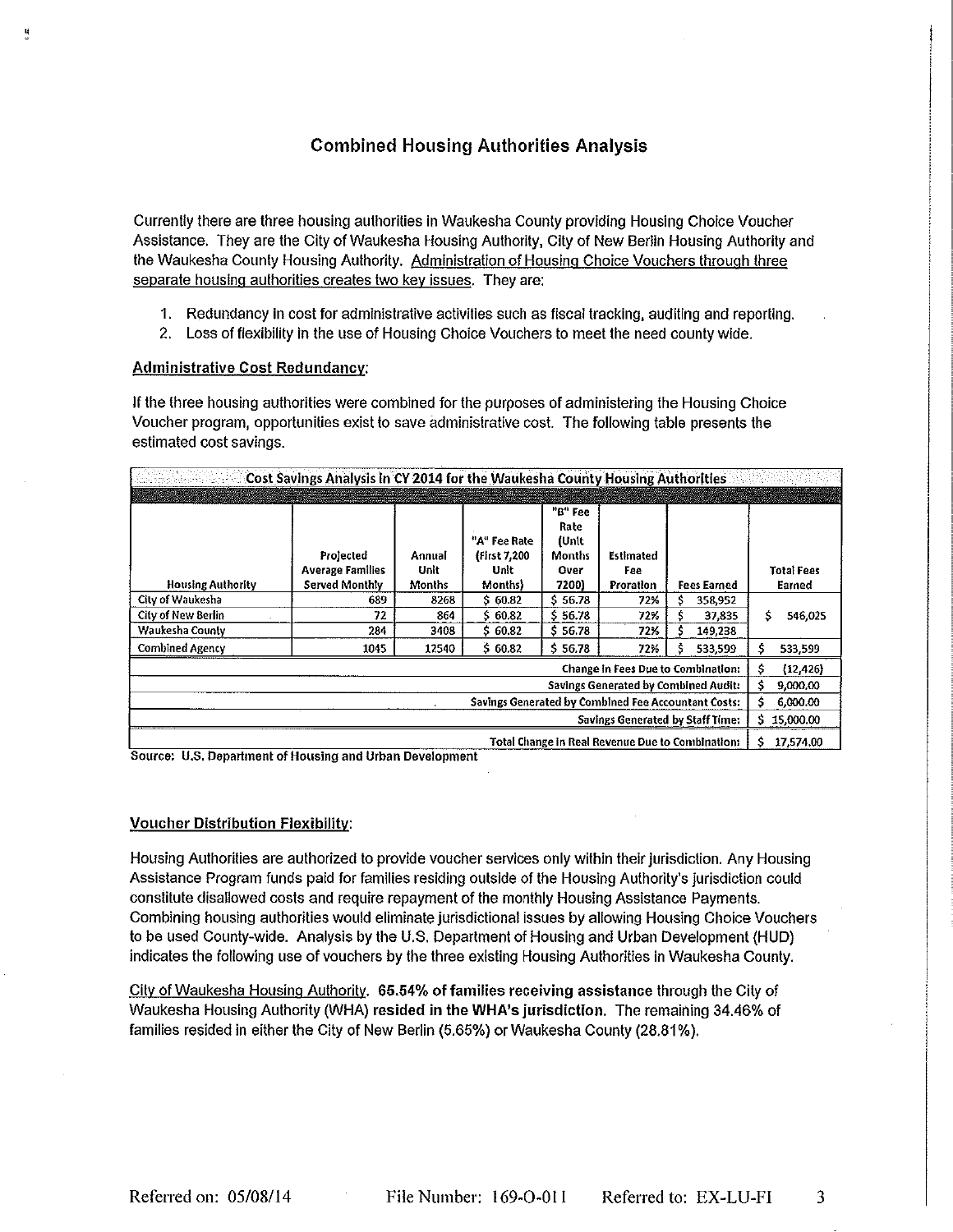# **Combined Housing Authorities Analysis**

Currently there are three housing authorities in Waukesha County providing Housing Choice Voucher Assistance. They are the City of Waukesha Housing Authority, City of New Berlin Housing Authority and the Waukesha County Housing Authority. Administration of Housing Choice Vouchers through three separate housing authorities creates two key issues. They are:

- 1. Redundancy in cost for administrative activities such as fiscal tracking, auditing and reporting.
- 2. Loss of flexibility in the use of Housing Choice Vouchers to meet the need county wide.

#### **Administrative Cost Redundancy:**

If the three housing authorities were combined for the purposes of administering the Housing Choice Voucher program, opportunities exist to save administrative cost. The following table presents the estimated cost savings.

| <u>사람 사람</u><br>Cost Savings Analysis in CY 2014 for the Waukesha County Housing Authorities |                                                        |                          |                                                 |                                                     |                                      |                    |                             |
|----------------------------------------------------------------------------------------------|--------------------------------------------------------|--------------------------|-------------------------------------------------|-----------------------------------------------------|--------------------------------------|--------------------|-----------------------------|
|                                                                                              |                                                        |                          |                                                 |                                                     |                                      |                    |                             |
| <b>Housing Authority</b>                                                                     | Projected<br><b>Average Families</b><br>Served Monthly | Annual<br>Unit<br>Months | "A" Fee Rate<br>(First 7,200<br>Unit<br>Months) | "B" Fee<br>Rate<br>(Unit<br>Months<br>Over<br>7200) | <b>Estimated</b><br>Fee<br>Proration | <b>Fees Earned</b> | <b>Total Fees</b><br>Earned |
| City of Waukesha                                                                             | 689                                                    | 8268                     | \$ 60.82                                        | \$56.78                                             | 72%                                  | 358,952            |                             |
| <b>City of New Berlin</b>                                                                    | 72                                                     | 864                      | \$ 60.82                                        | \$56.78                                             | 72%                                  | 37,835             | Ś<br>546,025                |
| Waukesha County                                                                              | 284                                                    | 3408                     | \$ 60.82                                        | \$56.78                                             | 72%                                  | 149,238            |                             |
| <b>Combined Agency</b>                                                                       | 1045                                                   | 12540                    | \$60.82                                         | \$56.78                                             | 72%                                  | 533,599            | Š<br>533,599                |
| <b>Change in Fees Due to Combination:</b>                                                    |                                                        |                          |                                                 |                                                     |                                      | Ŝ<br>(12, 426)     |                             |
| <b>Savings Generated by Combined Audit:</b>                                                  |                                                        |                          |                                                 |                                                     |                                      | 9,000.00<br>Ś      |                             |
| Savings Generated by Combined Fee Accountant Costs:                                          |                                                        |                          |                                                 |                                                     |                                      | 6,000.00<br>s      |                             |
| Savings Generated by Staff Time:                                                             |                                                        |                          |                                                 |                                                     |                                      | 15,000.00<br>S.    |                             |
| <b>Total Change in Real Revenue Due to Combination:</b>                                      |                                                        |                          |                                                 |                                                     |                                      | 17,574.00          |                             |

Source: U.S. Department of Housing and Urban Development

#### **Voucher Distribution Flexibility:**

Housing Authorities are authorized to provide voucher services only within their jurisdiction. Any Housing Assistance Program funds paid for families residing outside of the Housing Authority's jurisdiction could constitute disallowed costs and require repayment of the monthly Housing Assistance Payments. Combining housing authorities would eliminate jurisdictional issues by allowing Housing Choice Vouchers to be used County-wide. Analysis by the U.S. Department of Housing and Urban Development (HUD) indicates the following use of vouchers by the three existing Housing Authorities in Waukesha County.

City of Waukesha Housing Authority. 65.54% of families receiving assistance through the City of Waukesha Housing Authority (WHA) resided in the WHA's jurisdiction. The remaining 34.46% of families resided in either the City of New Berlin (5.65%) or Waukesha County (28.81%).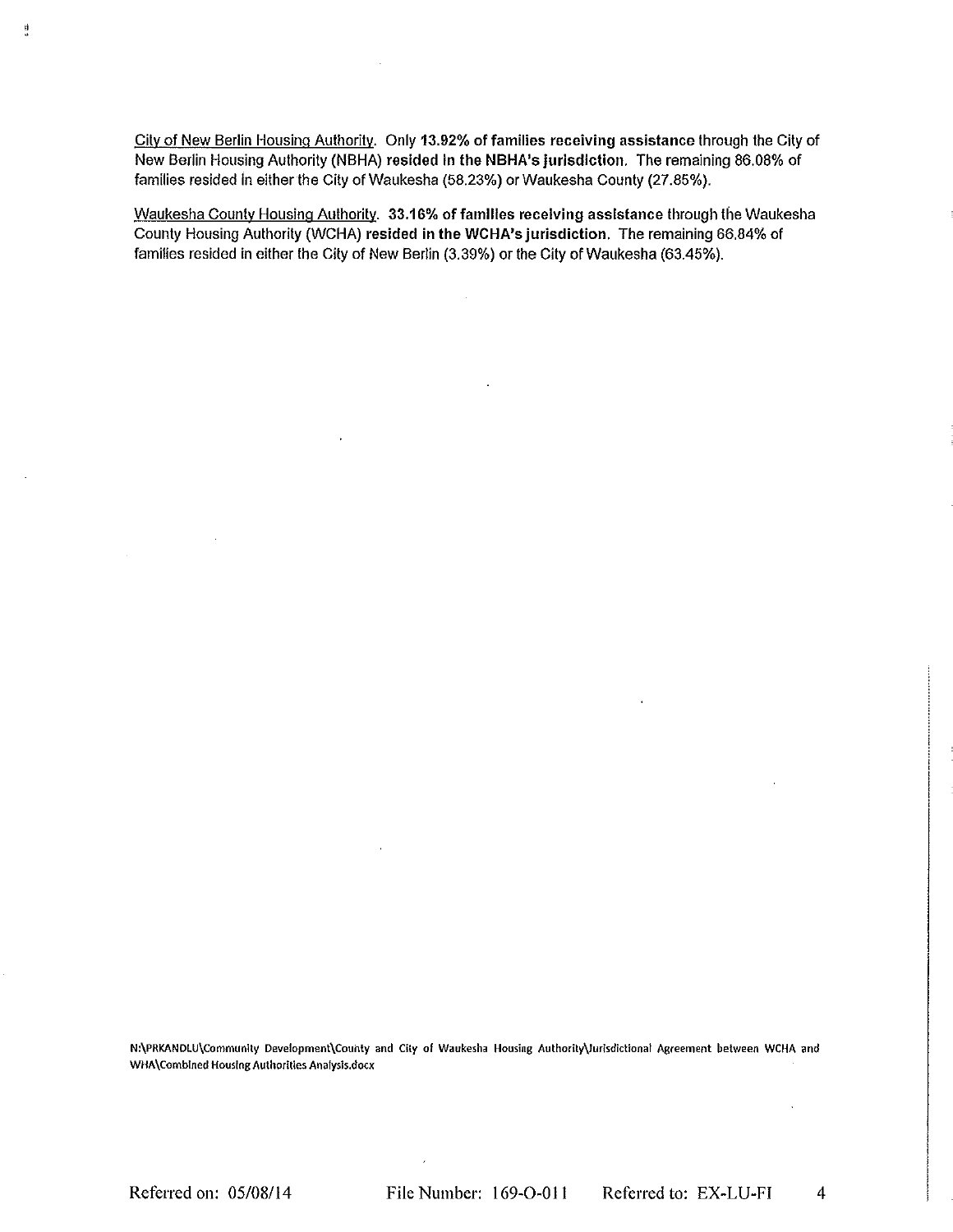City of New Berlin Housing Authority. Only 13.92% of families receiving assistance through the City of New Berlin Housing Authority (NBHA) resided in the NBHA's jurisdiction. The remaining 86.08% of families resided in either the City of Waukesha (58.23%) or Waukesha County (27.85%).

Waukesha County Housing Authority. 33.16% of families receiving assistance through the Waukesha County Housing Authority (WCHA) resided in the WCHA's jurisdiction. The remaining 66.84% of families resided in either the City of New Berlin (3.39%) or the City of Waukesha (63.45%).

 $\sim$ 

N:\PRKANDLU\Community Development\County and City of Waukesha Housing Authority\Jurisdictional Agreement between WCHA and WHA\Combined Housing Authorities Analysis.docx

Referred on: 05/08/14

ij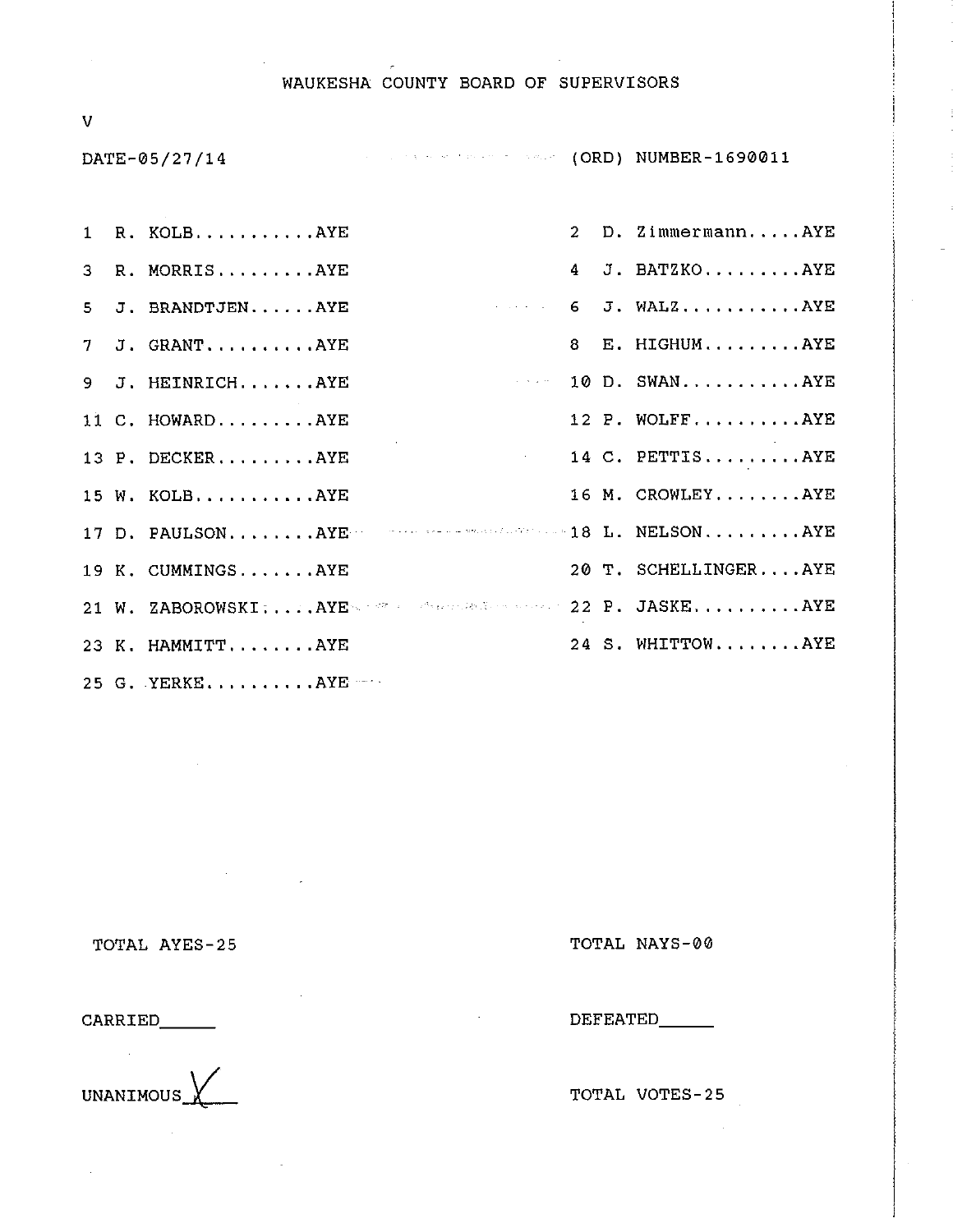#### WAUKESHA COUNTY BOARD OF SUPERVISORS

 $\overline{\mathsf{V}}$ 

DATE-05/27/14

**CONTRACTMENT CORD) NUMBER-1690011** 

|  | 1 R. KOLBAYE                                             |  | 2 D. ZimmermannAYE   |
|--|----------------------------------------------------------|--|----------------------|
|  | 3 R. MORRISAYE                                           |  | 4 J. BATZKOAYE       |
|  | 5 J. BRANDTJENAYE                                        |  | $6$ J. WALZAYE       |
|  | 7 J. GRANTAYE                                            |  | 8 E. HIGHUMAYE       |
|  | 9 J. HEINRICHAYE                                         |  | $10$ D. SWANAYE      |
|  | 11 C. HOWARDAYE                                          |  | 12 P. WOLFFAYE       |
|  | 13 P. DECKERAYE<br>$\sim 10^{11}$ km s $^{-1}$           |  | 14 C. PETTISAYE      |
|  | 15 W. KOLBAYE                                            |  | 16 M. CROWLEYAYE     |
|  | 17 D. PAULSONAYE MARK ARE AND MARKET AND 18 L. NELSONAYE |  |                      |
|  | 19 K. CUMMINGSAYE                                        |  | 20 T. SCHELLINGERAYE |
|  | 21 W. ZABOROWSKI:AYENAWA ARRESTS STATE 22 P. JASKEAYE    |  |                      |
|  | 23 K. HAMMITTAYE                                         |  | 24 S. WHITTOWAYE     |
|  | 25 G. YERKEAYE                                           |  |                      |

 $\sim 10^7$ 

TOTAL AYES-25

 $\mathcal{O}(\mathcal{O}(\log n))$ 

 $\overline{a}$ 

TOTAL NAYS-00

CARRIED\_\_\_\_\_\_

**UNANIMOUS** 

DEFEATED\_\_\_\_\_\_

TOTAL VOTES-25